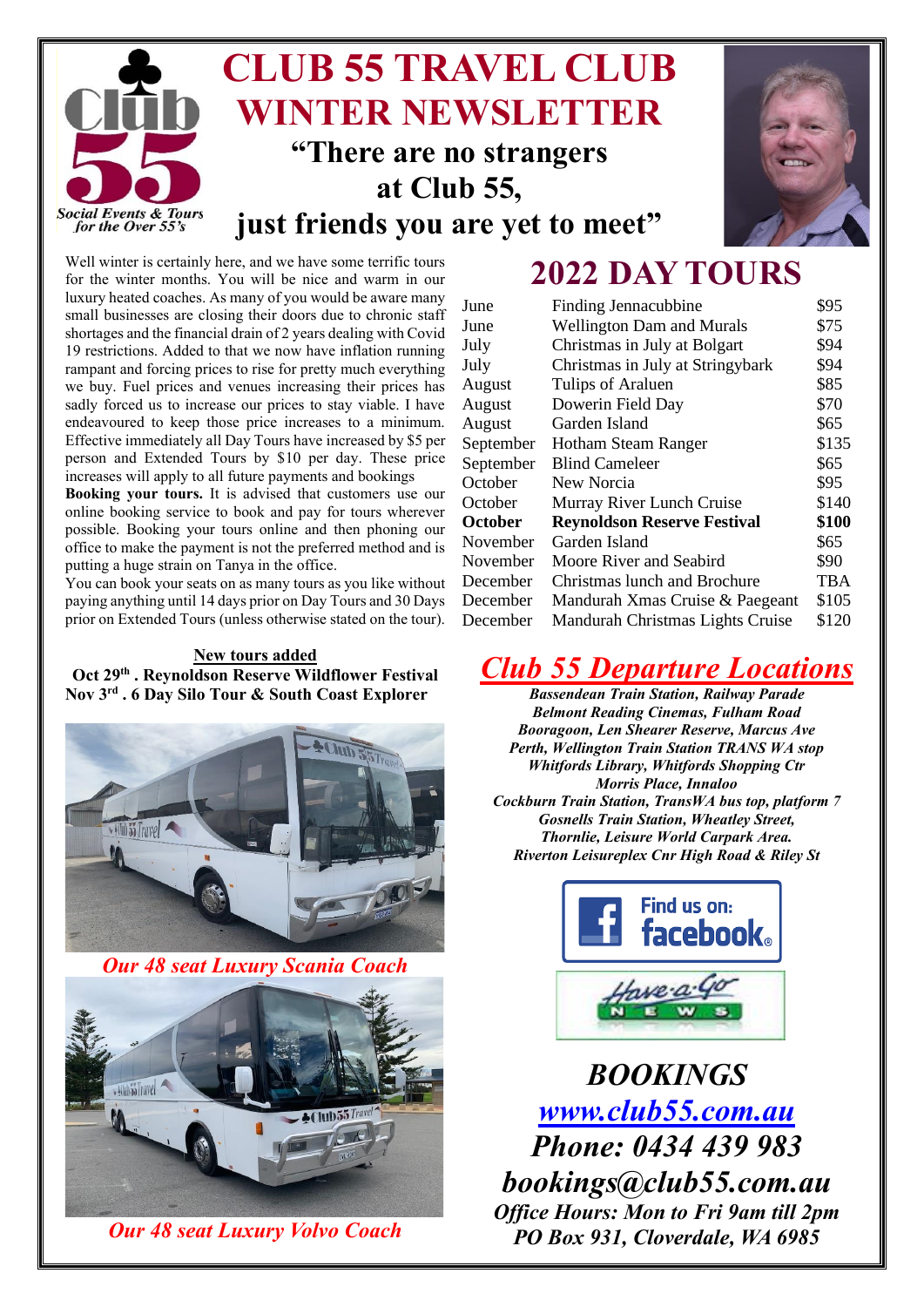



# **2022 DAY TOURS**

Well winter is certainly here, and we have some terrific tours for the winter months. You will be nice and warm in our luxury heated coaches. As many of you would be aware many small businesses are closing their doors due to chronic staff shortages and the financial drain of 2 years dealing with Covid 19 restrictions. Added to that we now have inflation running rampant and forcing prices to rise for pretty much everything we buy. Fuel prices and venues increasing their prices has sadly forced us to increase our prices to stay viable. I have endeavoured to keep those price increases to a minimum. Effective immediately all Day Tours have increased by \$5 per person and Extended Tours by \$10 per day. These price increases will apply to all future payments and bookings

**Booking your tours.** It is advised that customers use our online booking service to book and pay for tours wherever possible. Booking your tours online and then phoning our office to make the payment is not the preferred method and is putting a huge strain on Tanya in the office.

You can book your seats on as many tours as you like without paying anything until 14 days prior on Day Tours and 30 Days prior on Extended Tours (unless otherwise stated on the tour).

# **New tours added Oct 29th . Reynoldson Reserve Wildflower Festival Nov 3 rd . 6 Day Silo Tour & South Coast Explorer**



*Our 48 seat Luxury Scania Coach*



*Our 48 seat Luxury Volvo Coach*

| June           | Finding Jennacubbine               | \$95  |
|----------------|------------------------------------|-------|
| June           | <b>Wellington Dam and Murals</b>   | \$75  |
| July           | Christmas in July at Bolgart       | \$94  |
| July           | Christmas in July at Stringybark   | \$94  |
| August         | Tulips of Araluen                  | \$85  |
| August         | Dowerin Field Day                  | \$70  |
| August         | Garden Island                      | \$65  |
| September      | Hotham Steam Ranger                | \$135 |
| September      | <b>Blind Cameleer</b>              | \$65  |
| October        | New Norcia                         | \$95  |
| October        | Murray River Lunch Cruise          | \$140 |
| <b>October</b> | <b>Reynoldson Reserve Festival</b> | \$100 |
| November       | Garden Island                      | \$65  |
| November       | Moore River and Seabird            | \$90  |
| December       | Christmas lunch and Brochure       | TBA   |
| December       | Mandurah Xmas Cruise & Paegeant    | \$105 |
| December       | Mandurah Christmas Lights Cruise   | \$120 |
|                |                                    |       |

# *Club 55 Departure Locations*

*Bassendean Train Station, Railway Parade Belmont Reading Cinemas, Fulham Road Booragoon, Len Shearer Reserve, Marcus Ave Perth, Wellington Train Station TRANS WA stop Whitfords Library, Whitfords Shopping Ctr Morris Place, Innaloo Cockburn Train Station, TransWA bus top, platform 7 Gosnells Train Station, Wheatley Street, Thornlie, Leisure World Carpark Area. Riverton Leisureplex Cnr High Road & Riley St* 



*BOOKINGS [www.club55.com.au](http://www.club55.com.au/) Phone: 0434 439 983 bookings@club55.com.au Office Hours: Mon to Fri 9am till 2pm PO Box 931, Cloverdale, WA 6985*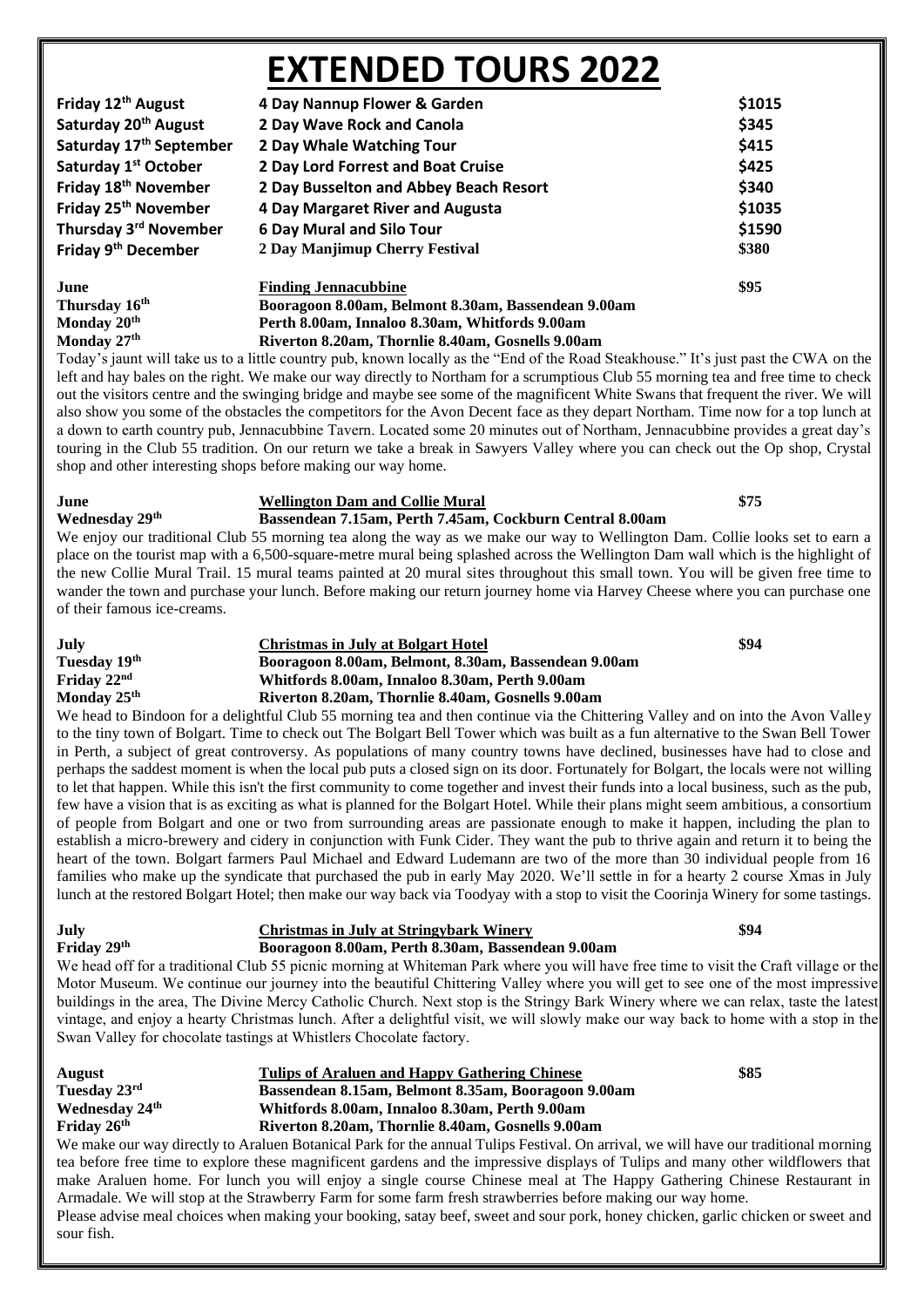# **EXTENDED TOURS 2022**

| Friday 12 <sup>th</sup> August      | 4 Day Nannup Flower & Garden                        | \$1015 |
|-------------------------------------|-----------------------------------------------------|--------|
| Saturday 20 <sup>th</sup> August    | 2 Day Wave Rock and Canola                          | \$345  |
| Saturday 17 <sup>th</sup> September | 2 Day Whale Watching Tour                           | \$415  |
| Saturday 1 <sup>st</sup> October    | 2 Day Lord Forrest and Boat Cruise                  | \$425  |
| Friday 18 <sup>th</sup> November    | 2 Day Busselton and Abbey Beach Resort              | \$340  |
| Friday 25 <sup>th</sup> November    | 4 Day Margaret River and Augusta                    | \$1035 |
| Thursday 3 <sup>rd</sup> November   | <b>6 Day Mural and Silo Tour</b>                    | \$1590 |
| Friday 9 <sup>th</sup> December     | 2 Day Manjimup Cherry Festival                      | \$380  |
| June                                | <b>Finding Jennacubbine</b>                         | \$95   |
| Thursday 16 <sup>th</sup>           | Booragoon 8.00am, Belmont 8.30am, Bassendean 9.00am |        |
| Monday 20th                         | Perth 8.00am, Innaloo 8.30am, Whitfords 9.00am      |        |

**Monday 27th Riverton 8.20am, Thornlie 8.40am, Gosnells 9.00am**

Today's jaunt will take us to a little country pub, known locally as the "End of the Road Steakhouse." It's just past the CWA on the left and hay bales on the right. We make our way directly to Northam for a scrumptious Club 55 morning tea and free time to check out the visitors centre and the swinging bridge and maybe see some of the magnificent White Swans that frequent the river. We will also show you some of the obstacles the competitors for the Avon Decent face as they depart Northam. Time now for a top lunch at a down to earth country pub, Jennacubbine Tavern. Located some 20 minutes out of Northam, Jennacubbine provides a great day's touring in the Club 55 tradition. On our return we take a break in Sawyers Valley where you can check out the Op shop, Crystal shop and other interesting shops before making our way home.

# **June Wellington Dam and Collie Mural \$75**

**Wednesday 29th Bassendean 7.15am, Perth 7.45am, Cockburn Central 8.00am**

We enjoy our traditional Club 55 morning tea along the way as we make our way to Wellington Dam. Collie looks set to earn a place on the tourist map with a 6,500-square-metre mural being splashed across the Wellington Dam wall which is the highlight of the new Collie Mural Trail. 15 mural teams painted at 20 mural sites throughout this small town. You will be given free time to wander the town and purchase your lunch. Before making our return journey home via Harvey Cheese where you can purchase one of their famous ice-creams.

# **July Christmas in July at Bolgart Hotel \$94** Tuesday 19<sup>th</sup> **Booragoon 8.00am, Belmont, 8.30am, Bassendean 9.00am**<br>Friday  $22^{nd}$  Whitfords 8.00am, Innaloo 8.30am, Perth 9.00am **Friday 22nd Whitfords 8.00am, Innaloo 8.30am, Perth 9.00am Monday 25th Riverton 8.20am, Thornlie 8.40am, Gosnells 9.00am**

We head to Bindoon for a delightful Club 55 morning tea and then continue via the Chittering Valley and on into the Avon Valley to the tiny town of Bolgart. Time to check out The Bolgart Bell Tower which was built as a fun alternative to the Swan Bell Tower in Perth, a subject of great controversy. As populations of many country towns have declined, businesses have had to close and perhaps the saddest moment is when the local pub puts a closed sign on its door. Fortunately for Bolgart, the locals were not willing to let that happen. While this isn't the first community to come together and invest their funds into a local business, such as the pub, few have a vision that is as exciting as what is planned for the Bolgart Hotel. While their plans might seem ambitious, a consortium of people from Bolgart and one or two from surrounding areas are passionate enough to make it happen, including the plan to establish a micro-brewery and cidery in conjunction with Funk Cider. They want the pub to thrive again and return it to being the heart of the town. Bolgart farmers Paul Michael and Edward Ludemann are two of the more than 30 individual people from 16 families who make up the syndicate that purchased the pub in early May 2020. We'll settle in for a hearty 2 course Xmas in July lunch at the restored Bolgart Hotel; then make our way back via Toodyay with a stop to visit the Coorinja Winery for some tastings.

## **July Christmas in July at Stringybark Winery \$94 Friday 29th Booragoon 8.00am, Perth 8.30am, Bassendean 9.00am**

We head off for a traditional Club 55 picnic morning at Whiteman Park where you will have free time to visit the Craft village or the Motor Museum. We continue our journey into the beautiful Chittering Valley where you will get to see one of the most impressive buildings in the area, The Divine Mercy Catholic Church. Next stop is the Stringy Bark Winery where we can relax, taste the latest vintage, and enjoy a hearty Christmas lunch. After a delightful visit, we will slowly make our way back to home with a stop in the Swan Valley for chocolate tastings at Whistlers Chocolate factory.

| <b>August</b>              | Tulips of Araluen and Happy Gathering Chinese                                                                                | \$85 |
|----------------------------|------------------------------------------------------------------------------------------------------------------------------|------|
| Tuesday 23rd               | Bassendean 8.15am, Belmont 8.35am, Booragoon 9.00am                                                                          |      |
| Wednesday 24 <sup>th</sup> | Whitfords 8.00am, Innaloo 8.30am, Perth 9.00am                                                                               |      |
| Friday $26th$              | Riverton 8.20am, Thornlie 8.40am, Gosnells 9.00am                                                                            |      |
|                            | We make our way directly to Araluen Botanical Park for the annual Tulins Festival On arrival we will have our traditional me |      |

e our way directly to Araluen Botanical Park for the annual Tulips Festival. On arrival, we will have our traditional morning tea before free time to explore these magnificent gardens and the impressive displays of Tulips and many other wildflowers that make Araluen home. For lunch you will enjoy a single course Chinese meal at The Happy Gathering Chinese Restaurant in Armadale. We will stop at the Strawberry Farm for some farm fresh strawberries before making our way home.

Please advise meal choices when making your booking, satay beef, sweet and sour pork, honey chicken, garlic chicken or sweet and sour fish.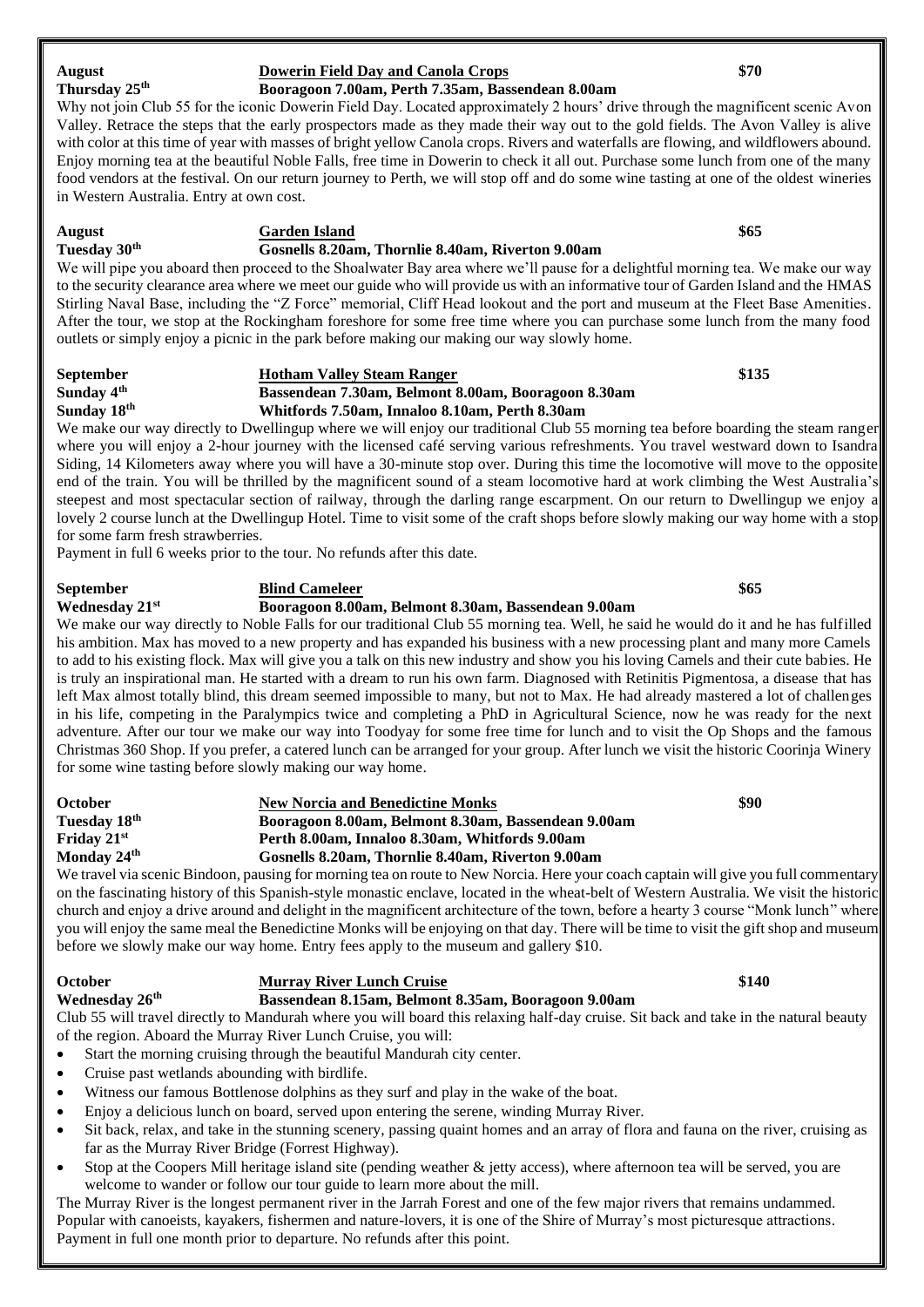| Why not join Club 55 for the iconic Dowerin Field Day. Located approximately 2 hours' drive through the magnificent scenic Avon       |
|---------------------------------------------------------------------------------------------------------------------------------------|
| Valley. Retrace the steps that the early prospectors made as they made their way out to the gold fields. The Avon Valley is alive     |
| with color at this time of year with masses of bright yellow Canola crops. Rivers and waterfalls are flowing, and wildflowers abound. |
| Enjoy morning tea at the beautiful Noble Falls, free time in Dowerin to check it all out. Purchase some lunch from one of the many    |
| food vendors at the festival. On our return journey to Perth, we will stop off and do some wine tasting at one of the oldest wineries |
| in Western Australia. Entry at own cost.                                                                                              |
|                                                                                                                                       |

**Thursday 25th Booragoon 7.00am, Perth 7.35am, Bassendean 8.00am**

### **August Garden Island \$65 Tuesday 30th Gosnells 8.20am, Thornlie 8.40am, Riverton 9.00am**

We will pipe you aboard then proceed to the Shoalwater Bay area where we'll pause for a delightful morning tea. We make our way to the security clearance area where we meet our guide who will provide us with an informative tour of Garden Island and the HMAS Stirling Naval Base, including the "Z Force" memorial, Cliff Head lookout and the port and museum at the Fleet Base Amenities. After the tour, we stop at the Rockingham foreshore for some free time where you can purchase some lunch from the many food outlets or simply enjoy a picnic in the park before making our making our way slowly home.

## **September Hotham Valley Steam Ranger \$135 Sunday 4th Bassendean 7.30am, Belmont 8.00am, Booragoon 8.30am Sunday 18th Whitfords 7.50am, Innaloo 8.10am, Perth 8.30am**

We make our way directly to Dwellingup where we will enjoy our traditional Club 55 morning tea before boarding the steam ranger where you will enjoy a 2-hour journey with the licensed café serving various refreshments. You travel westward down to Isandra Siding, 14 Kilometers away where you will have a 30-minute stop over. During this time the locomotive will move to the opposite end of the train. You will be thrilled by the magnificent sound of a steam locomotive hard at work climbing the West Australia's steepest and most spectacular section of railway, through the darling range escarpment. On our return to Dwellingup we enjoy a lovely 2 course lunch at the Dwellingup Hotel. Time to visit some of the craft shops before slowly making our way home with a stop for some farm fresh strawberries.

Payment in full 6 weeks prior to the tour. No refunds after this date.

**September Blind Cameleer \$65**

# **Wednesday 21st Booragoon 8.00am, Belmont 8.30am, Bassendean 9.00am**

We make our way directly to Noble Falls for our traditional Club 55 morning tea. Well, he said he would do it and he has fulfilled his ambition. Max has moved to a new property and has expanded his business with a new processing plant and many more Camels to add to his existing flock. Max will give you a talk on this new industry and show you his loving Camels and their cute babies. He is truly an inspirational man. He started with a dream to run his own farm. Diagnosed with Retinitis Pigmentosa, a disease that has left Max almost totally blind, this dream seemed impossible to many, but not to Max. He had already mastered a lot of challenges in his life, competing in the Paralympics twice and completing a PhD in Agricultural Science, now he was ready for the next adventure. After our tour we make our way into Toodyay for some free time for lunch and to visit the Op Shops and the famous Christmas 360 Shop. If you prefer, a catered lunch can be arranged for your group. After lunch we visit the historic Coorinja Winery for some wine tasting before slowly making our way home.

| <b>October</b>           | <b>New Norcia and Benedictine Monks</b>             | \$90 |
|--------------------------|-----------------------------------------------------|------|
| Tuesday 18 <sup>th</sup> | Booragoon 8.00am, Belmont 8.30am, Bassendean 9.00am |      |
| Friday $21st$            | Perth 8.00am, Innaloo 8.30am, Whitfords 9.00am      |      |
| Monday 24 <sup>th</sup>  | Gosnells 8.20am. Thornlie 8.40am. Riverton 9.00am   |      |
|                          |                                                     |      |

We travel via scenic Bindoon, pausing for morning tea on route to New Norcia. Here your coach captain will give you full commentary on the fascinating history of this Spanish-style monastic enclave, located in the wheat-belt of Western Australia. We visit the historic church and enjoy a drive around and delight in the magnificent architecture of the town, before a hearty 3 course "Monk lunch" where you will enjoy the same meal the Benedictine Monks will be enjoying on that day. There will be time to visit the gift shop and museum before we slowly make our way home. Entry fees apply to the museum and gallery \$10.

# **October Murray River Lunch Cruise \$140 Wednesday 26th Bassendean 8.15am, Belmont 8.35am, Booragoon 9.00am**

Club 55 will travel directly to Mandurah where you will board this relaxing half-day cruise. Sit back and take in the natural beauty of the region. Aboard the Murray River Lunch Cruise, you will:

- Start the morning cruising through the beautiful Mandurah city center.
- Cruise past wetlands abounding with birdlife.
- Witness our famous Bottlenose dolphins as they surf and play in the wake of the boat.
- Enjoy a delicious lunch on board, served upon entering the serene, winding Murray River.
- Sit back, relax, and take in the stunning scenery, passing quaint homes and an array of flora and fauna on the river, cruising as far as the Murray River Bridge (Forrest Highway).
- Stop at the Coopers Mill heritage island site (pending weather  $\&$  jetty access), where afternoon tea will be served, you are welcome to wander or follow our tour guide to learn more about the mill.

The Murray River is the longest permanent river in the Jarrah Forest and one of the few major rivers that remains undammed. Popular with canoeists, kayakers, fishermen and nature-lovers, it is one of the Shire of Murray's most picturesque attractions. Payment in full one month prior to departure. No refunds after this point.

August **Dowerin Field Day** and Canola Crops<br> **Thursday 25<sup>th</sup> Booragoon 7.00am, Perth 7.35am, Bassendean 8.00am**